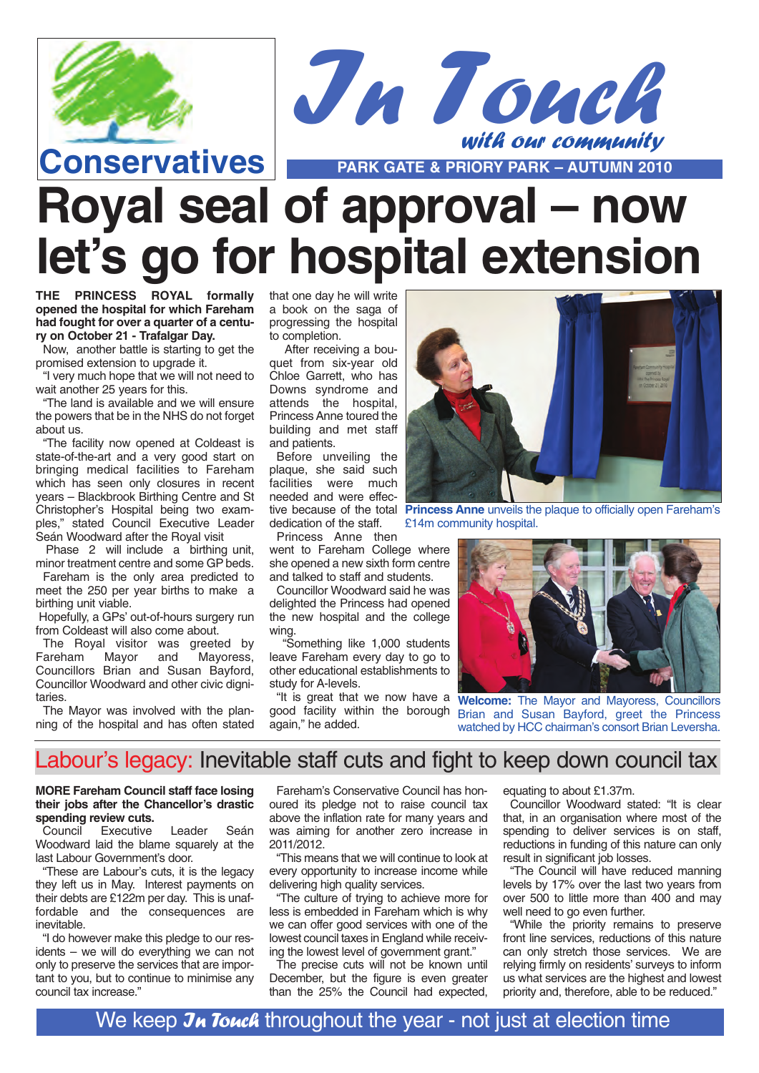



# **Royal seal of approval – now let's go for hospital extension**

**THE PRINCESS ROYAL formally opened the hospital for which Fareham had fought for over a quarter of a century on October 21 - Trafalgar Day.**

Now, another battle is starting to get the promised extension to upgrade it.

"I very much hope that we will not need to wait another 25 years for this.

"The land is available and we will ensure the powers that be in the NHS do not forget about us.

"The facility now opened at Coldeast is state-of-the-art and a very good start on bringing medical facilities to Fareham which has seen only closures in recent years – Blackbrook Birthing Centre and St Christopher's Hospital being two examples," stated Council Executive Leader Seán Woodward after the Royal visit

Phase 2 will include a birthing unit, minor treatment centre and some GP beds.

Fareham is the only area predicted to meet the 250 per year births to make a birthing unit viable.

Hopefully, a GPs' out-of-hours surgery run from Coldeast will also come about.

The Royal visitor was greeted by Fareham Mayor and Mayoress, Councillors Brian and Susan Bayford, Councillor Woodward and other civic dignitaries.

The Mayor was involved with the planning of the hospital and has often stated that one day he will write a book on the saga of progressing the hospital to completion.

After receiving a bouquet from six-year old Chloe Garrett, who has Downs syndrome and attends the hospital, Princess Anne toured the building and met staff and patients.

Before unveiling the plaque, she said such facilities were much needed and were effecdedication of the staff.

Princess Anne then

went to Fareham College where she opened a new sixth form centre and talked to staff and students.

Councillor Woodward said he was delighted the Princess had opened the new hospital and the college wing.

"Something like 1,000 students leave Fareham every day to go to other educational establishments to study for A-levels.

again," he added.



tive because of the total **Princess Anne** unveils the plaque to officially open Fareham's £14m community hospital.



"It is great that we now have a **Welcome:** The Mayor and Mayoress, Councillors good facility within the borough Brian and Susan Bayford, greet the Princess watched by HCC chairman's consort Brian Leversha.

## Labour's legacy: Inevitable staff cuts and fight to keep down council tax

### **MORE Fareham Council staff face losing their jobs after the Chancellor's drastic spending review cuts.**<br>Council **Executive**

Leader Seán Woodward laid the blame squarely at the last Labour Government's door.

"These are Labour's cuts, it is the legacy they left us in May. Interest payments on their debts are £122m per day. This is unaffordable and the consequences are inevitable.

"I do however make this pledge to our residents – we will do everything we can not only to preserve the services that are important to you, but to continue to minimise any council tax increase."

Fareham's Conservative Council has honoured its pledge not to raise council tax above the inflation rate for many years and was aiming for another zero increase in 2011/2012.

"This means that we will continue to look at every opportunity to increase income while delivering high quality services.

"The culture of trying to achieve more for less is embedded in Fareham which is why we can offer good services with one of the lowest council taxes in England while receiving the lowest level of government grant."

The precise cuts will not be known until December, but the figure is even greater than the 25% the Council had expected,

equating to about £1.37m.

Councillor Woodward stated: "It is clear that, in an organisation where most of the spending to deliver services is on staff. reductions in funding of this nature can only result in significant job losses.

"The Council will have reduced manning levels by 17% over the last two years from over 500 to little more than 400 and may well need to go even further.

"While the priority remains to preserve front line services, reductions of this nature can only stretch those services. We are relying firmly on residents' surveys to inform us what services are the highest and lowest priority and, therefore, able to be reduced."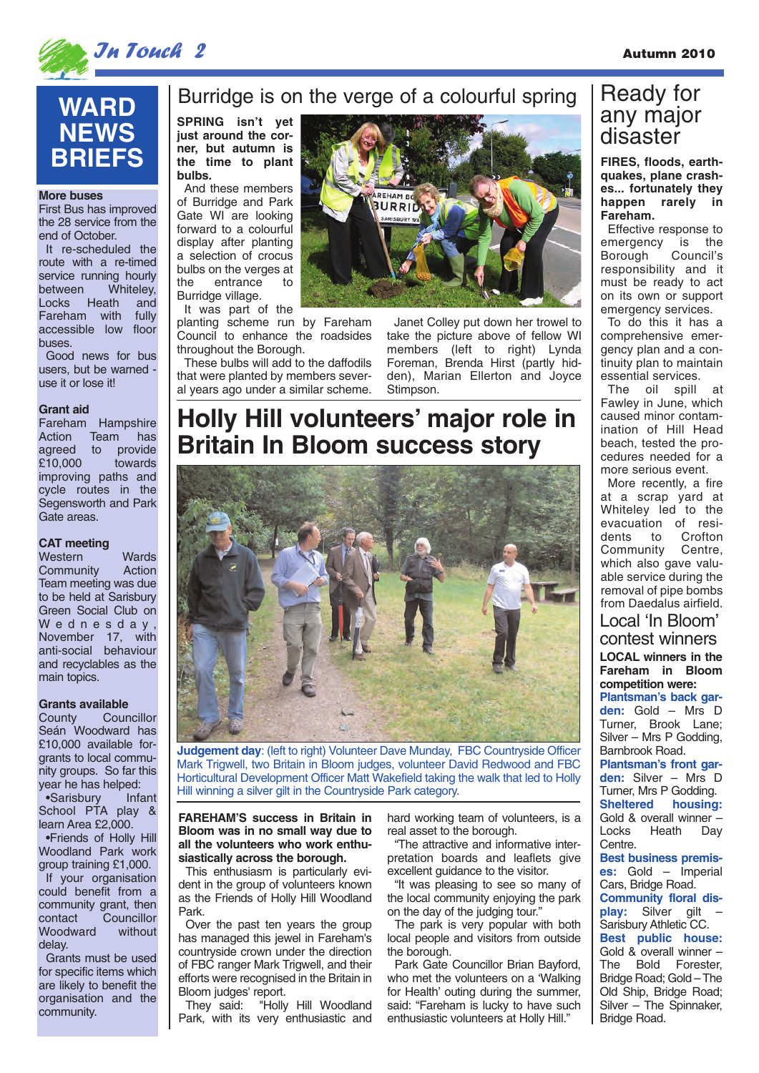

# **WARD NEWS BRIEFS**

#### **More buses**

First Bus has improved the 28 service from the end of October.

It re-scheduled the route with a re-timed service running hourly<br>between Whiteley. Whiteley, Locks Heath and<br>Fareham with fully Fareham with accessible low floor buses.

Good news for bus users, but be warned use it or lose it!

### **Grant aid**

Fareham Hampshire Action Team has agreed to provide<br>£10,000 towards towards improving paths and cycle routes in the Segensworth and Park Gate areas.

### **CAT meeting**

Western Wards<br>Community Action Community Team meeting was due to be held at Sarisbury Green Social Club on Wednesday, November 17, with anti-social behaviour and recyclables as the main topics.

Grants available<br>County Cour Councillor Seán Woodward has £10,000 available forgrants to local community groups. So far this year he has helped: •Sarisbury Infant School PTA play & learn Area £2,000. •Friends of Holly Hill Woodland Park work group training £1,000. If your organisation could benefit from a community grant, then<br>contact Councillor Councillor<br>without Woodward delay.

Grants must be used for specific items which are likely to benefit the organisation and the community.

### Burridge is on the verge of a colourful spring

**just around the corner, but autumn is the time to plant bulbs.**

And these members of Burridge and Park Gate WI are looking forward to a colourful display after planting a selection of crocus bulbs on the verges at the entrance to Burridge village.

It was part of the

planting scheme run by Fareham Council to enhance the roadsides throughout the Borough.

These bulbs will add to the daffodils that were planted by members several years ago under a similar scheme.



Janet Colley put down her trowel to take the picture above of fellow WI members (left to right) Lynda Foreman, Brenda Hirst (partly hidden), Marian Ellerton and Joyce Stimpson.

# **Holly Hill volunteers' major role in Britain In Bloom success story**



**Judgement day: (left to right) Volunteer Dave Munday, FBC Countryside Officer** Mark Trigwell, two Britain in Bloom judges, volunteer David Redwood and FBC Horticultural Development Officer Matt Wakefield taking the walk that led to Holly Hill winning a silver gilt in the Countryside Park category.

**FAREHAM'S success in Britain in Bloom was in no small way due to all the volunteers who work enthusiastically across the borough.** 

This enthusiasm is particularly evident in the group of volunteers known as the Friends of Holly Hill Woodland Park.

Over the past ten years the group has managed this jewel in Fareham's countryside crown under the direction of FBC ranger Mark Trigwell, and their efforts were recognised in the Britain in Bloom judges' report.

They said: "Holly Hill Woodland Park, with its very enthusiastic and hard working team of volunteers, is a real asset to the borough.

"The attractive and informative interpretation boards and leaflets give excellent guidance to the visitor.

"It was pleasing to see so many of the local community enjoying the park on the day of the judging tour."

The park is very popular with both local people and visitors from outside the borough.

Park Gate Councillor Brian Bayford, who met the volunteers on a 'Walking for Health' outing during the summer, said: "Fareham is lucky to have such enthusiastic volunteers at Holly Hill."

# Ready for any major

#### **FIRES, floods, earthquakes, plane crashes... fortunately they happen rarely in Fareham.**

Effective response to emergency is the<br>Borough Council's Borough responsibility and it must be ready to act on its own or support emergency services.

To do this it has a comprehensive emergency plan and a continuity plan to maintain essential services.

The oil spill at Fawley in June, which caused minor contamination of Hill Head beach, tested the procedures needed for a more serious event.

More recently, a fire at a scrap yard at Whiteley led to the evacuation of resi-<br>dents to Crofton to Crofton Community Centre, which also gave valuable service during the removal of pipe bombs from Daedalus airfield.

### **LOCAL winners in the Fareham in Bloom competition were:** Local 'In Bloom' contest winners

**Plantsman's back garden:** Gold – Mrs D Turner, Brook Lane; Silver – Mrs P Godding, Barnbrook Road.

**Plantsman's front garden:** Silver – Mrs D Turner, Mrs P Godding.<br>Sheltered housing housing: Gold & overall winner –<br>Locks Heath Dav Heath Day Centre.

**Best business premises:** Gold – Imperial Cars, Bridge Road. **Community floral display:** Silver gilt – Sarisbury Athletic CC. **Best public house:** Gold & overall winner – The Bold Forester, Bridge Road; Gold – The Old Ship, Bridge Road; Silver – The Spinnaker, Bridge Road.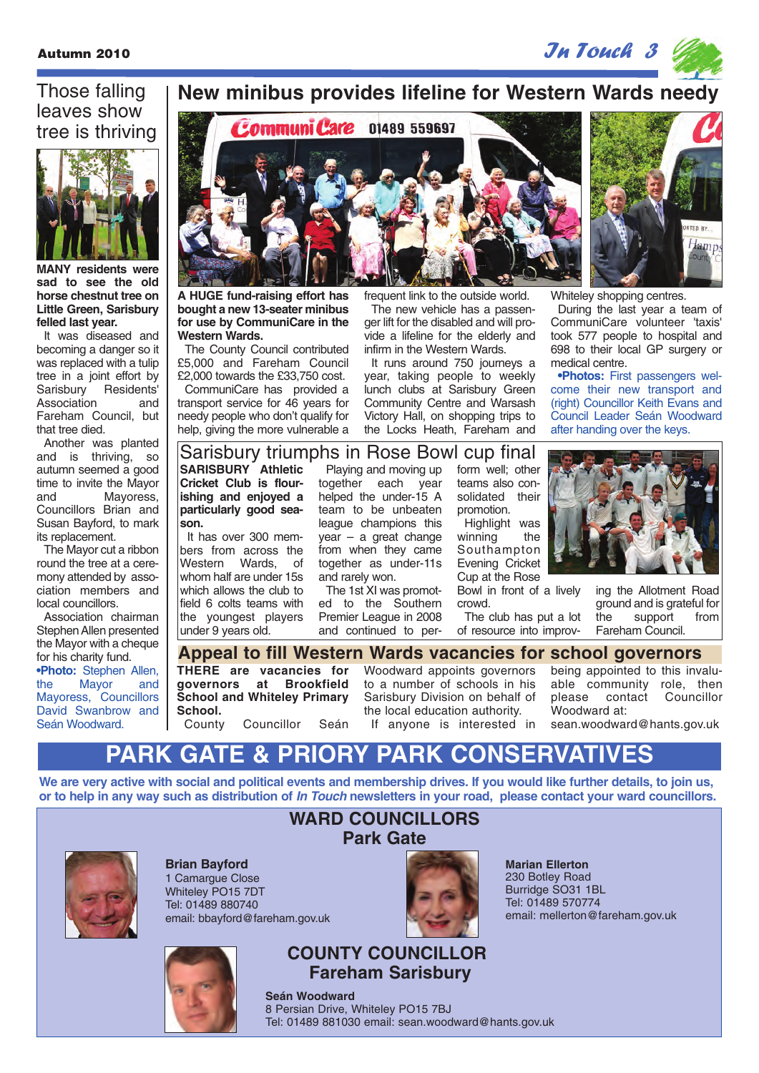### Those falling leaves show tree is thriving



**MANY residents were sad to see the old horse chestnut tree on Little Green, Sarisbury felled last year.** 

It was diseased and becoming a danger so it was replaced with a tulip tree in a joint effort by Sarisbury Residents' Association and Fareham Council, but that tree died.

Another was planted and is thriving, so autumn seemed a good time to invite the Mayor and Mayoress, Councillors Brian and Susan Bayford, to mark its replacement.

The Mayor cut a ribbon round the tree at a ceremony attended by association members and local councillors.

Association chairman Stephen Allen presented the Mayor with a cheque for his charity fund. **•Photo:** Stephen Allen,<br>the Mayor and Mayor Mayoress, Councillors David Swanbrow and Seán Woodward.

### **New minibus provides lifeline for Western Wards needy**



**A HUGE fund-raising effort has bought a new 13-seater minibus for use by CommuniCare in the Western Wards.**

The County Council contributed £5,000 and Fareham Council £2,000 towards the £33,750 cost.

CommuniCare has provided a transport service for 46 years for needy people who don't qualify for help, giving the more vulnerable a

frequent link to the outside world. The new vehicle has a passenger lift for the disabled and will provide a lifeline for the elderly and infirm in the Western Wards.

It runs around 750 journeys a year, taking people to weekly lunch clubs at Sarisbury Green Community Centre and Warsash Victory Hall, on shopping trips to the Locks Heath, Fareham and

Jamp

Whiteley shopping centres.

During the last year a team of CommuniCare volunteer 'taxis' took 577 people to hospital and 698 to their local GP surgery or medical centre.

**•Photos:** First passengers welcome their new transport and (right) Councillor Keith Evans and Council Leader Seán Woodward after handing over the keys.

### Sarisbury triumphs in Rose Bowl cup final

**SARISBURY Athletic Cricket Club is flourishing and enjoyed a particularly good season.** 

It has over 300 members from across the Western Wards, of whom half are under 15s which allows the club to field 6 colts teams with the youngest players under 9 years old.

Playing and moving up together each year helped the under-15 A team to be unbeaten league champions this year – a great change from when they came together as under-11s and rarely won.

The 1st XI was promoted to the Southern Premier League in 2008 and continued to perform well; other teams also consolidated their promotion.

Highlight was winning the Southampton Evening Cricket Cup at the Rose Bowl in front of a lively

crowd. The club has put a lot of resource into improv-



ing the Allotment Road ground and is grateful for the support from Fareham Council.

**THERE are vacancies for governors at Brookfield School and Whiteley Primary School.**<br>County Councillor Seán Woodward appoints governors to a number of schools in his Sarisbury Division on behalf of the local education authority. If anyone is interested in being appointed to this invaluable community role, then<br>please contact Councillor please contact Woodward at: sean.woodward@hants.gov.uk **Appeal to fill Western Wards vacancies for school governors**

# **PARK GATE & PRIORY PARK CONSERVATIVES**

**We are very active with social and political events and membership drives. If you would like further details, to join us, or to help in any way such as distribution of In Touch newsletters in your road, please contact your ward councillors.**



**Brian Bayford** 1 Camarque Close Whiteley PO15 7DT Tel: 01489 880740 email: bbayford@fareham.gov.uk



# **COUNTY COUNCILLOR**

**Fareham Sarisbury**

**Seán Woodward** 8 Persian Drive, Whiteley PO15 7BJ Tel: 01489 881030 email: sean.woodward@hants.gov.uk

**WARD COUNCILLORS Park Gate**



**Marian Ellerton** 230 Botley Road Burridge SO31 1BL Tel: 01489 570774 email: mellerton@fareham.gov.uk